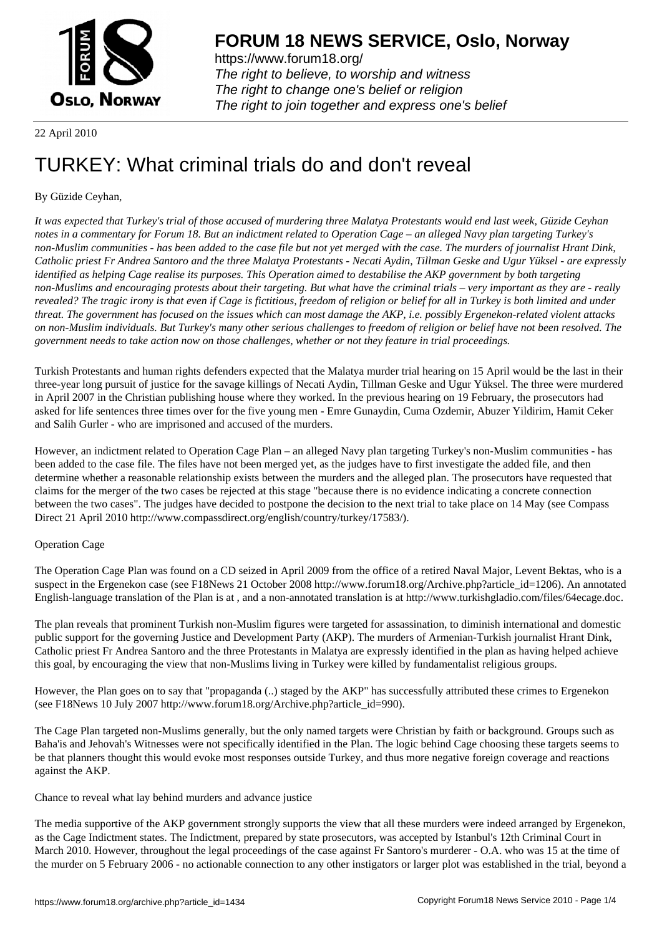

https://www.forum18.org/ The right to believe, to worship and witness The right to change one's belief or religion [The right to join together a](https://www.forum18.org/)nd express one's belief

## 22 April 2010

# [TURKEY: What](https://www.forum18.org) criminal trials do and don't reveal

## By Güzide Ceyhan,

*It was expected that Turkey's trial of those accused of murdering three Malatya Protestants would end last week, Güzide Ceyhan notes in a commentary for Forum 18. But an indictment related to Operation Cage – an alleged Navy plan targeting Turkey's non-Muslim communities - has been added to the case file but not yet merged with the case. The murders of journalist Hrant Dink, Catholic priest Fr Andrea Santoro and the three Malatya Protestants - Necati Aydin, Tillman Geske and Ugur Yüksel - are expressly identified as helping Cage realise its purposes. This Operation aimed to destabilise the AKP government by both targeting non-Muslims and encouraging protests about their targeting. But what have the criminal trials – very important as they are - really revealed? The tragic irony is that even if Cage is fictitious, freedom of religion or belief for all in Turkey is both limited and under threat. The government has focused on the issues which can most damage the AKP, i.e. possibly Ergenekon-related violent attacks on non-Muslim individuals. But Turkey's many other serious challenges to freedom of religion or belief have not been resolved. The government needs to take action now on those challenges, whether or not they feature in trial proceedings.*

Turkish Protestants and human rights defenders expected that the Malatya murder trial hearing on 15 April would be the last in their three-year long pursuit of justice for the savage killings of Necati Aydin, Tillman Geske and Ugur Yüksel. The three were murdered in April 2007 in the Christian publishing house where they worked. In the previous hearing on 19 February, the prosecutors had asked for life sentences three times over for the five young men - Emre Gunaydin, Cuma Ozdemir, Abuzer Yildirim, Hamit Ceker and Salih Gurler - who are imprisoned and accused of the murders.

However, an indictment related to Operation Cage Plan – an alleged Navy plan targeting Turkey's non-Muslim communities - has been added to the case file. The files have not been merged yet, as the judges have to first investigate the added file, and then determine whether a reasonable relationship exists between the murders and the alleged plan. The prosecutors have requested that claims for the merger of the two cases be rejected at this stage "because there is no evidence indicating a concrete connection between the two cases". The judges have decided to postpone the decision to the next trial to take place on 14 May (see Compass Direct 21 April 2010 http://www.compassdirect.org/english/country/turkey/17583/).

## Operation Cage

The Operation Cage Plan was found on a CD seized in April 2009 from the office of a retired Naval Major, Levent Bektas, who is a suspect in the Ergenekon case (see F18News 21 October 2008 http://www.forum18.org/Archive.php?article\_id=1206). An annotated English-language translation of the Plan is at , and a non-annotated translation is at http://www.turkishgladio.com/files/64ecage.doc.

The plan reveals that prominent Turkish non-Muslim figures were targeted for assassination, to diminish international and domestic public support for the governing Justice and Development Party (AKP). The murders of Armenian-Turkish journalist Hrant Dink, Catholic priest Fr Andrea Santoro and the three Protestants in Malatya are expressly identified in the plan as having helped achieve this goal, by encouraging the view that non-Muslims living in Turkey were killed by fundamentalist religious groups.

However, the Plan goes on to say that "propaganda (..) staged by the AKP" has successfully attributed these crimes to Ergenekon (see F18News 10 July 2007 http://www.forum18.org/Archive.php?article\_id=990).

The Cage Plan targeted non-Muslims generally, but the only named targets were Christian by faith or background. Groups such as Baha'is and Jehovah's Witnesses were not specifically identified in the Plan. The logic behind Cage choosing these targets seems to be that planners thought this would evoke most responses outside Turkey, and thus more negative foreign coverage and reactions against the AKP.

### Chance to reveal what lay behind murders and advance justice

The media supportive of the AKP government strongly supports the view that all these murders were indeed arranged by Ergenekon, as the Cage Indictment states. The Indictment, prepared by state prosecutors, was accepted by Istanbul's 12th Criminal Court in March 2010. However, throughout the legal proceedings of the case against Fr Santoro's murderer - O.A. who was 15 at the time of the murder on 5 February 2006 - no actionable connection to any other instigators or larger plot was established in the trial, beyond a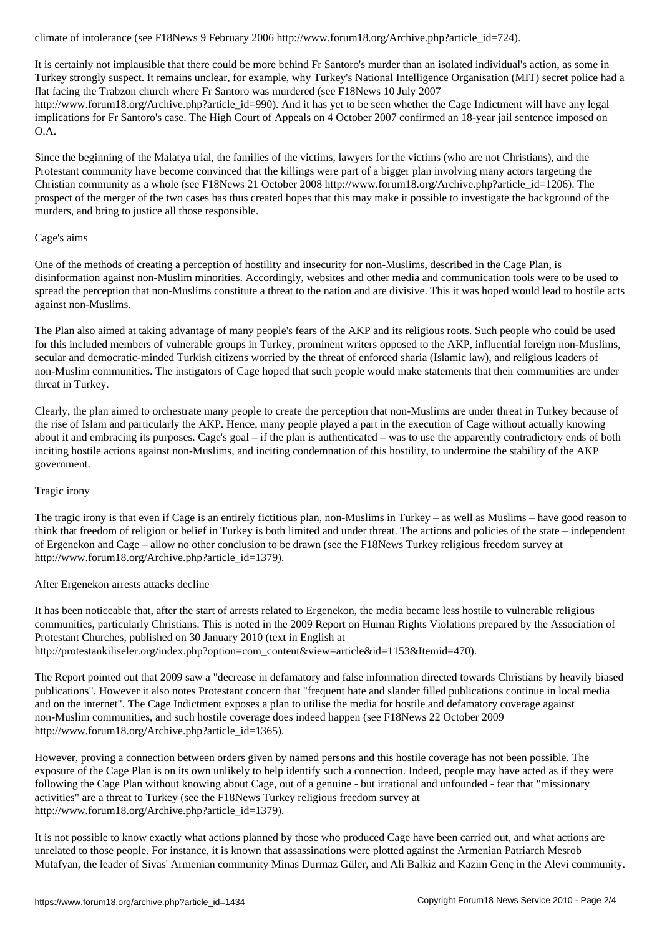It is certainly not implausible that there could be more behind Fr Santoro's murder than an isolated individual's action, as some in Turkey strongly suspect. It remains unclear, for example, why Turkey's National Intelligence Organisation (MIT) secret police had a flat facing the Trabzon church where Fr Santoro was murdered (see F18News 10 July 2007 http://www.forum18.org/Archive.php?article\_id=990). And it has yet to be seen whether the Cage Indictment will have any legal implications for Fr Santoro's case. The High Court of Appeals on 4 October 2007 confirmed an 18-year jail sentence imposed on O.A.

Since the beginning of the Malatya trial, the families of the victims, lawyers for the victims (who are not Christians), and the Protestant community have become convinced that the killings were part of a bigger plan involving many actors targeting the Christian community as a whole (see F18News 21 October 2008 http://www.forum18.org/Archive.php?article\_id=1206). The prospect of the merger of the two cases has thus created hopes that this may make it possible to investigate the background of the murders, and bring to justice all those responsible.

### Cage's aims

One of the methods of creating a perception of hostility and insecurity for non-Muslims, described in the Cage Plan, is disinformation against non-Muslim minorities. Accordingly, websites and other media and communication tools were to be used to spread the perception that non-Muslims constitute a threat to the nation and are divisive. This it was hoped would lead to hostile acts against non-Muslims.

The Plan also aimed at taking advantage of many people's fears of the AKP and its religious roots. Such people who could be used for this included members of vulnerable groups in Turkey, prominent writers opposed to the AKP, influential foreign non-Muslims, secular and democratic-minded Turkish citizens worried by the threat of enforced sharia (Islamic law), and religious leaders of non-Muslim communities. The instigators of Cage hoped that such people would make statements that their communities are under threat in Turkey.

Clearly, the plan aimed to orchestrate many people to create the perception that non-Muslims are under threat in Turkey because of the rise of Islam and particularly the AKP. Hence, many people played a part in the execution of Cage without actually knowing about it and embracing its purposes. Cage's goal – if the plan is authenticated – was to use the apparently contradictory ends of both inciting hostile actions against non-Muslims, and inciting condemnation of this hostility, to undermine the stability of the AKP government.

#### Tragic irony

The tragic irony is that even if Cage is an entirely fictitious plan, non-Muslims in Turkey – as well as Muslims – have good reason to think that freedom of religion or belief in Turkey is both limited and under threat. The actions and policies of the state – independent of Ergenekon and Cage – allow no other conclusion to be drawn (see the F18News Turkey religious freedom survey at http://www.forum18.org/Archive.php?article\_id=1379).

### After Ergenekon arrests attacks decline

It has been noticeable that, after the start of arrests related to Ergenekon, the media became less hostile to vulnerable religious communities, particularly Christians. This is noted in the 2009 Report on Human Rights Violations prepared by the Association of Protestant Churches, published on 30 January 2010 (text in English at http://protestankiliseler.org/index.php?option=com\_content&view=article&id=1153&Itemid=470).

The Report pointed out that 2009 saw a "decrease in defamatory and false information directed towards Christians by heavily biased publications". However it also notes Protestant concern that "frequent hate and slander filled publications continue in local media and on the internet". The Cage Indictment exposes a plan to utilise the media for hostile and defamatory coverage against non-Muslim communities, and such hostile coverage does indeed happen (see F18News 22 October 2009 http://www.forum18.org/Archive.php?article\_id=1365).

However, proving a connection between orders given by named persons and this hostile coverage has not been possible. The exposure of the Cage Plan is on its own unlikely to help identify such a connection. Indeed, people may have acted as if they were following the Cage Plan without knowing about Cage, out of a genuine - but irrational and unfounded - fear that "missionary activities" are a threat to Turkey (see the F18News Turkey religious freedom survey at http://www.forum18.org/Archive.php?article\_id=1379).

It is not possible to know exactly what actions planned by those who produced Cage have been carried out, and what actions are unrelated to those people. For instance, it is known that assassinations were plotted against the Armenian Patriarch Mesrob Mutafyan, the leader of Sivas' Armenian community Minas Durmaz Güler, and Ali Balkiz and Kazim Genç in the Alevi community.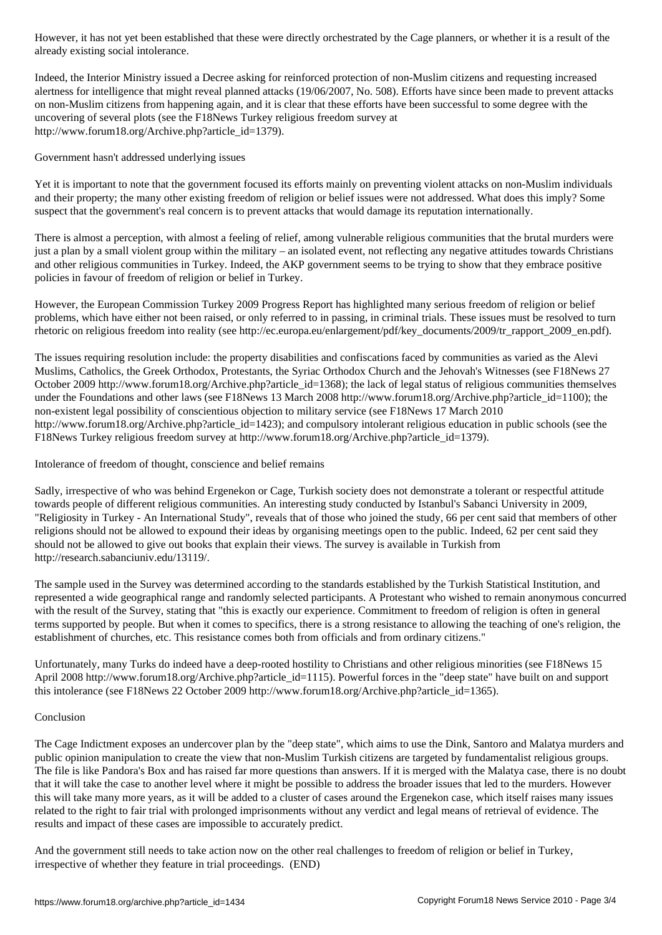already existing social intolerance.

Indeed, the Interior Ministry issued a Decree asking for reinforced protection of non-Muslim citizens and requesting increased alertness for intelligence that might reveal planned attacks (19/06/2007, No. 508). Efforts have since been made to prevent attacks on non-Muslim citizens from happening again, and it is clear that these efforts have been successful to some degree with the uncovering of several plots (see the F18News Turkey religious freedom survey at http://www.forum18.org/Archive.php?article\_id=1379).

Government hasn't addressed underlying issues

Yet it is important to note that the government focused its efforts mainly on preventing violent attacks on non-Muslim individuals and their property; the many other existing freedom of religion or belief issues were not addressed. What does this imply? Some suspect that the government's real concern is to prevent attacks that would damage its reputation internationally.

There is almost a perception, with almost a feeling of relief, among vulnerable religious communities that the brutal murders were just a plan by a small violent group within the military – an isolated event, not reflecting any negative attitudes towards Christians and other religious communities in Turkey. Indeed, the AKP government seems to be trying to show that they embrace positive policies in favour of freedom of religion or belief in Turkey.

However, the European Commission Turkey 2009 Progress Report has highlighted many serious freedom of religion or belief problems, which have either not been raised, or only referred to in passing, in criminal trials. These issues must be resolved to turn rhetoric on religious freedom into reality (see http://ec.europa.eu/enlargement/pdf/key\_documents/2009/tr\_rapport\_2009\_en.pdf).

The issues requiring resolution include: the property disabilities and confiscations faced by communities as varied as the Alevi Muslims, Catholics, the Greek Orthodox, Protestants, the Syriac Orthodox Church and the Jehovah's Witnesses (see F18News 27 October 2009 http://www.forum18.org/Archive.php?article\_id=1368); the lack of legal status of religious communities themselves under the Foundations and other laws (see F18News 13 March 2008 http://www.forum18.org/Archive.php?article\_id=1100); the non-existent legal possibility of conscientious objection to military service (see F18News 17 March 2010 http://www.forum18.org/Archive.php?article\_id=1423); and compulsory intolerant religious education in public schools (see the F18News Turkey religious freedom survey at http://www.forum18.org/Archive.php?article\_id=1379).

Intolerance of freedom of thought, conscience and belief remains

Sadly, irrespective of who was behind Ergenekon or Cage, Turkish society does not demonstrate a tolerant or respectful attitude towards people of different religious communities. An interesting study conducted by Istanbul's Sabanci University in 2009, "Religiosity in Turkey - An International Study", reveals that of those who joined the study, 66 per cent said that members of other religions should not be allowed to expound their ideas by organising meetings open to the public. Indeed, 62 per cent said they should not be allowed to give out books that explain their views. The survey is available in Turkish from http://research.sabanciuniv.edu/13119/.

The sample used in the Survey was determined according to the standards established by the Turkish Statistical Institution, and represented a wide geographical range and randomly selected participants. A Protestant who wished to remain anonymous concurred with the result of the Survey, stating that "this is exactly our experience. Commitment to freedom of religion is often in general terms supported by people. But when it comes to specifics, there is a strong resistance to allowing the teaching of one's religion, the establishment of churches, etc. This resistance comes both from officials and from ordinary citizens."

Unfortunately, many Turks do indeed have a deep-rooted hostility to Christians and other religious minorities (see F18News 15 April 2008 http://www.forum18.org/Archive.php?article\_id=1115). Powerful forces in the "deep state" have built on and support this intolerance (see F18News 22 October 2009 http://www.forum18.org/Archive.php?article\_id=1365).

### Conclusion

The Cage Indictment exposes an undercover plan by the "deep state", which aims to use the Dink, Santoro and Malatya murders and public opinion manipulation to create the view that non-Muslim Turkish citizens are targeted by fundamentalist religious groups. The file is like Pandora's Box and has raised far more questions than answers. If it is merged with the Malatya case, there is no doubt that it will take the case to another level where it might be possible to address the broader issues that led to the murders. However this will take many more years, as it will be added to a cluster of cases around the Ergenekon case, which itself raises many issues related to the right to fair trial with prolonged imprisonments without any verdict and legal means of retrieval of evidence. The results and impact of these cases are impossible to accurately predict.

And the government still needs to take action now on the other real challenges to freedom of religion or belief in Turkey, irrespective of whether they feature in trial proceedings. (END)